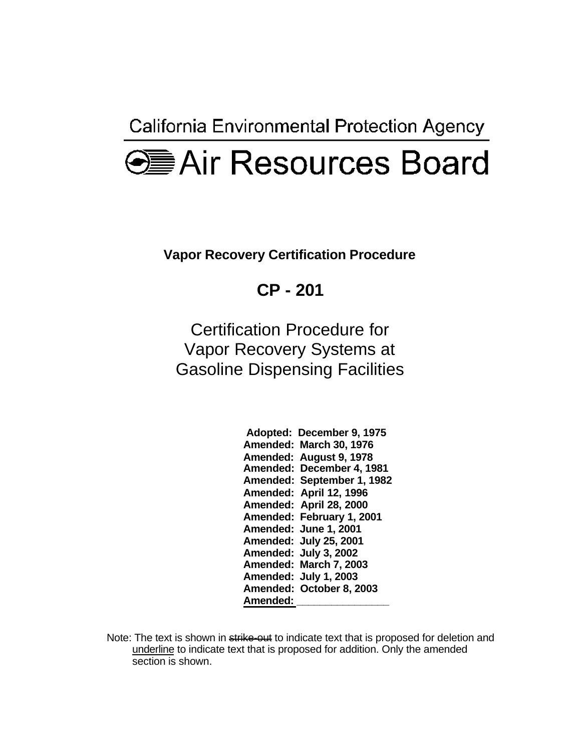California Environmental Protection Agency

## **<del>●■</del>Air Resources Board**

**Vapor Recovery Certification Procedure** 

**CP - 201** 

Certification Procedure for Vapor Recovery Systems at Gasoline Dispensing Facilities

| Adopted: | December 9, 1975      |
|----------|-----------------------|
| Amended: | <b>March 30, 1976</b> |
| Amended: | <b>August 9, 1978</b> |
| Amended: | December 4, 1981      |
| Amended: | September 1, 1982     |
| Amended: | April 12, 1996        |
| Amended: | April 28, 2000        |
| Amended: | February 1, 2001      |
| Amended: | June 1, 2001          |
| Amended: | <b>July 25, 2001</b>  |
| Amended: | <b>July 3, 2002</b>   |
| Amended: | March 7, 2003         |
| Amended: | <b>July 1, 2003</b>   |
| Amended: | October 8, 2003       |
| Amended: |                       |

Note: The text is shown in strike-out to indicate text that is proposed for deletion and underline to indicate text that is proposed for addition. Only the amended section is shown.